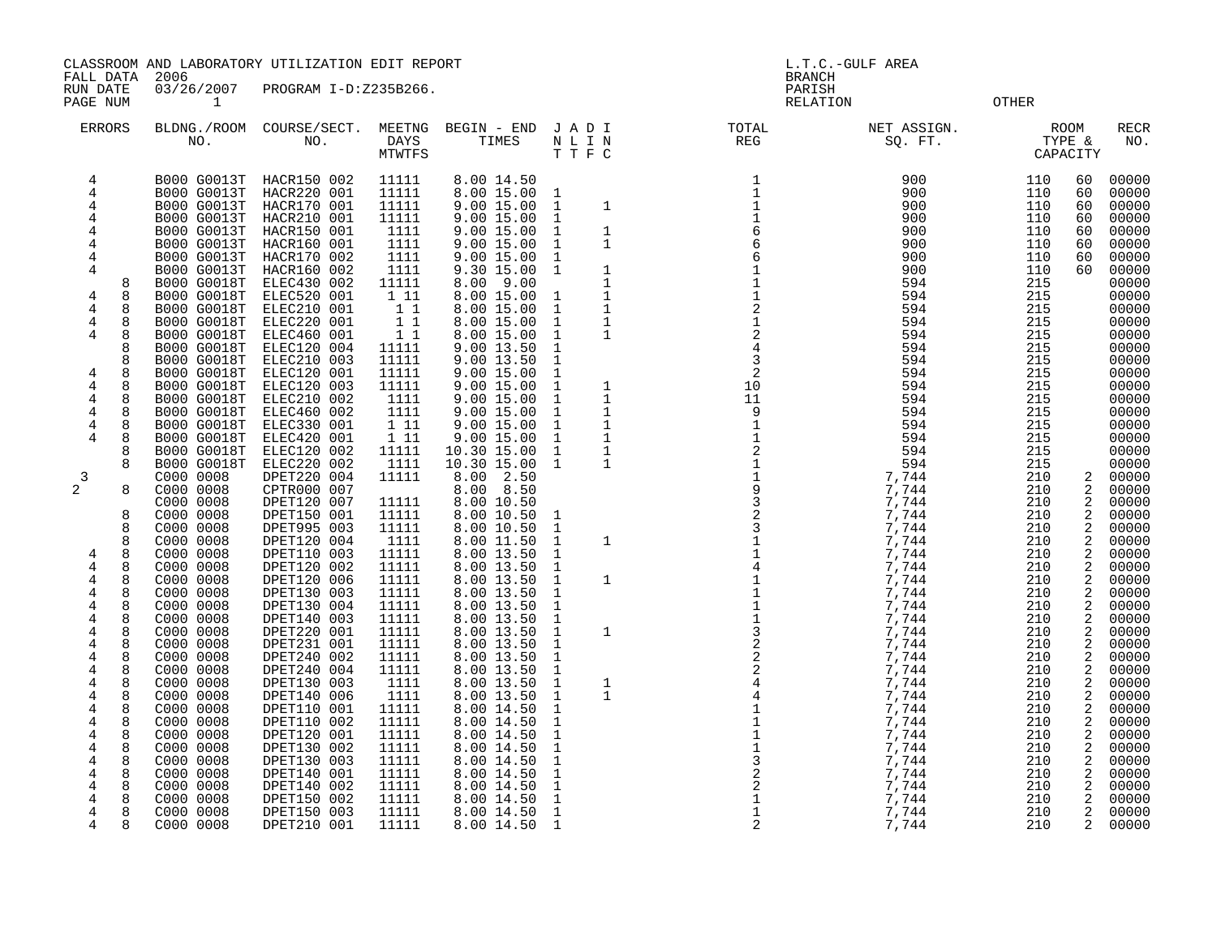CLASSROOM AND LABORATORY UTILIZATION EDIT REPORT **Example 2001** L.T.C.-GULF AREA

FALL DATA 2006 BRANCH

RUN DATE 03/26/2007 PROGRAM I-D:Z235B266.<br>PAGE NUM 1

OTHER

| <b>ERRORS</b>  |        | BLDNG./ROOM<br>NO.                       | COURSE/SECT.<br>NO.        | MEETNG<br>DAYS<br>MTWTFS | BEGIN - END<br>TIMES     | JADI<br>$\hbox{N}$ L I $\hbox{N}$ | TTFC        | TOTAL<br>REG                                           | NET ASSIGN.<br>SQ. FT. |            | <b>ROOM</b><br>TYPE &<br>CAPACITY | <b>RECR</b><br>NO. |
|----------------|--------|------------------------------------------|----------------------------|--------------------------|--------------------------|-----------------------------------|-------------|--------------------------------------------------------|------------------------|------------|-----------------------------------|--------------------|
| 4<br>4         |        | B000 G0013T                              | HACR150 002                | 11111<br>11111           | 8.00 14.50<br>8.00 15.00 |                                   |             | $\mathbf{1}$                                           | 900<br>900             | 110<br>110 | 60<br>60                          | 00000<br>00000     |
| 4              |        | B000 G0013T                              | HACR220 001                | 11111                    | 9.00 15.00               | 1<br>1                            |             | $\frac{1}{1}$                                          | 900                    | 110        |                                   | 00000              |
|                |        | <b>B000 G0013T</b><br><b>B000 G0013T</b> | HACR170 001<br>HACR210 001 | 11111                    | 9.0015.00                |                                   | 1           |                                                        | 900                    | 110        | 60<br>60                          | 00000              |
| 4              |        | B000 G0013T                              | HACR150 001                | 1111                     | 9.00 15.00               | 1<br>1                            | 1           | 6                                                      | 900                    | 110        | 60                                | 00000              |
| 4              |        | <b>B000 G0013T</b>                       | HACR160 001                | 1111                     | 9.00 15.00               | 1                                 | 1           | $\epsilon$                                             | 900                    | 110        | 60                                | 00000              |
| 4              |        | B000 G0013T                              | HACR170 002                | 1111                     | 9.00 15.00               | 1                                 |             |                                                        | 900                    | 110        | 60                                | 00000              |
| 4              |        | B000 G0013T                              | HACR160 002                | 1111                     | 9.30 15.00               | <sup>1</sup>                      | 1           | $\mathbf{1}$                                           | 900                    | 110        | 60                                | 00000              |
|                | 8      | B000 G0018T                              | ELEC430 002                | 11111                    | 8.00 9.00                |                                   | 1           | $1\,$                                                  | 594                    | 215        |                                   | 00000              |
| 4              | 8      | <b>B000 G0018T</b>                       | ELEC520 001                | 1 11                     | 8.00 15.00               | 1                                 | 1           | $\mathbf 1$                                            | 594                    | 215        |                                   | 00000              |
| 4              | 8      | <b>B000 G0018T</b>                       | ELEC210 001                | 11                       | 8.00 15.00               | <sup>1</sup>                      | 1           | $\sqrt{2}$                                             | 594                    | 215        |                                   | 00000              |
| 4              | 8      | B000 G0018T                              | ELEC220 001                | 11                       | 8.00 15.00               | 1                                 | 1           | $\mathbf{1}$                                           | 594                    | 215        |                                   | 00000              |
| 4              | 8      | <b>B000 G0018T</b>                       | ELEC460 001                | 11                       | 8.00 15.00               | 1                                 | 1           |                                                        | 594                    | 215        |                                   | 00000              |
|                | 8      | <b>B000 G0018T</b>                       | ELEC120 004                | 11111                    | 9.00 13.50               | 1                                 |             | $\frac{2}{4}$                                          | 594                    | 215        |                                   | 00000              |
|                | 8      | B000 G0018T                              | ELEC210 003                | 11111                    | 9.00 13.50               | 1                                 |             | $\overline{3}$                                         | 594                    | 215        |                                   | 00000              |
| 4              | 8      | <b>B000 G0018T</b>                       | ELEC120 001                | 11111                    | 9.0015.00                | 1                                 |             | 2                                                      | 594                    | 215        |                                   | 00000              |
| 4              | 8      | B000 G0018T                              | ELEC120 003                | 11111                    | 9.00 15.00               | 1                                 | 1           | 10                                                     | 594                    | 215        |                                   | 00000              |
| 4              | 8      | B000 G0018T                              | ELEC210 002                | 1111                     | 9.00 15.00               | <sup>1</sup>                      | $\mathbf 1$ | 11                                                     | 594                    | 215        |                                   | 00000              |
| 4              | 8      | <b>B000 G0018T</b>                       | ELEC460 002                | 1111                     | 9.0015.00                | 1                                 | 1           | 9                                                      | 594                    | 215        |                                   | 00000              |
| 4              | 8      | <b>B000 G0018T</b>                       | ELEC330 001                | 1 11                     | 9.0015.00                | 1                                 | 1           | 1                                                      | 594                    | 215        |                                   | 00000              |
| 4              | 8      | B000 G0018T                              | ELEC420 001                | 1 11                     | 9.00 15.00               | <sup>1</sup>                      | 1           | $\mathbf{1}$                                           | 594                    | 215        |                                   | 00000              |
|                | 8      | <b>B000 G0018T</b>                       | ELEC120 002                | 11111                    | 10.30 15.00              | $\mathbf{1}$                      | 1           |                                                        | 594                    | 215        |                                   | 00000              |
|                | 8      | <b>B000 G0018T</b>                       | ELEC220 002                | 1111                     | 10.30 15.00              | 1                                 | $\mathbf 1$ | 2119323114111322441                                    | 594                    | 215        |                                   | 00000              |
| 3              |        | C000 0008                                | DPET220 004                | 11111                    | 8.00 2.50                |                                   |             |                                                        | 7,744                  | 210        | 2                                 | 00000              |
| $\overline{2}$ | 8      | C000 0008                                | CPTR000 007                |                          | 8.00 8.50                |                                   |             |                                                        | 7,744                  | 210        | 2                                 | 00000              |
|                |        | C000 0008                                | DPET120 007                | 11111                    | 8.00 10.50               |                                   |             |                                                        | 7,744                  | 210        | 2                                 | 00000              |
|                | 8      | C000 0008                                | DPET150 001                | 11111                    | 8.00 10.50               | 1                                 |             |                                                        | 7,744                  | 210        | 2                                 | 00000              |
|                | 8<br>8 | C000 0008                                | DPET995 003                | 11111                    | 8.00 10.50               | 1                                 |             |                                                        | 7,744                  | 210<br>210 | 2                                 | 00000              |
|                | 8      | C000 0008                                | DPET120 004<br>DPET110 003 | 1111<br>11111            | 8.00 11.50<br>8.00 13.50 | 1<br>1                            | 1           |                                                        | 7,744<br>7,744         | 210        | 2<br>2                            | 00000<br>00000     |
| 4<br>4         | 8      | C000 0008<br>C000 0008                   | DPET120 002                | 11111                    | 8.00 13.50               | 1                                 |             |                                                        | 7,744                  | 210        | 2                                 | 00000              |
| 4              | 8      | C000 0008                                | DPET120 006                | 11111                    | 8.00 13.50               | 1                                 | 1           |                                                        | 7,744                  | 210        | 2                                 | 00000              |
| 4              | 8      | C000 0008                                | DPET130 003                | 11111                    | 8.00 13.50               | 1                                 |             |                                                        | 7,744                  | 210        | 2                                 | 00000              |
| 4              | 8      | C000 0008                                | DPET130 004                | 11111                    | 8.00 13.50               | 1                                 |             |                                                        | 7,744                  | 210        | 2                                 | 00000              |
| 4              | 8      | C000 0008                                | DPET140 003                | 11111                    | 8.00 13.50               | 1                                 |             |                                                        | 7,744                  | 210        | 2                                 | 00000              |
| 4              | 8      | C000 0008                                | DPET220 001                | 11111                    | 8.00 13.50               | 1                                 | $\mathbf 1$ |                                                        | 7,744                  | 210        | 2                                 | 00000              |
| 4              | 8      | C000 0008                                | DPET231 001                | 11111                    | 8.00 13.50               | 1                                 |             |                                                        | 7,744                  | 210        | 2                                 | 00000              |
| 4              | 8      | C000 0008                                | DPET240 002                | 11111                    | 8.00 13.50               | 1                                 |             |                                                        | 7,744                  | 210        | 2                                 | 00000              |
| 4              | 8      | C000 0008                                | DPET240 004                | 11111                    | 8.00 13.50               | 1                                 |             |                                                        | 7,744                  | 210        | 2                                 | 00000              |
| 4              | 8      | C000 0008                                | DPET130 003                | 1111                     | 8.00 13.50               | 1                                 | 1           |                                                        | 7,744                  | 210        | 2                                 | 00000              |
| 4              | 8      | C000 0008                                | DPET140 006                | 1111                     | 8.00 13.50               | 1                                 | 1           |                                                        | 7,744                  | 210        | 2                                 | 00000              |
| 4              | 8      | C000 0008                                | DPET110 001                | 11111                    | 8.00 14.50               | 1                                 |             |                                                        | 7,744                  | 210        | 2                                 | 00000              |
| 4              | 8      | C000 0008                                | DPET110 002                | 11111                    | 8.00 14.50               | 1                                 |             |                                                        | 7,744                  | 210        | 2                                 | 00000              |
| 4              | 8      | C000 0008                                | DPET120 001                | 11111                    | 8.00 14.50               | $\mathbf{1}$                      |             |                                                        | 7,744                  | 210        | 2                                 | 00000              |
| 4              | 8      | C000 0008                                | DPET130 002                | 11111                    | 8.00 14.50               | 1                                 |             | $\begin{array}{c}\n1 \\ 1 \\ 2 \\ 3 \\ 2\n\end{array}$ | 7,744                  | 210        | 2                                 | 00000              |
| 4              | 8      | C000 0008                                | DPET130 003                | 11111                    | 8.00 14.50               | 1                                 |             |                                                        | 7,744                  | 210        | 2                                 | 00000              |
| 4              | 8      | C000 0008                                | DPET140 001                | 11111                    | 8.00 14.50               | 1                                 |             |                                                        | 7,744                  | 210        | 2                                 | 00000              |
| 4              | 8      | C000 0008                                | DPET140 002                | 11111                    | 8.00 14.50               | 1                                 |             |                                                        | 7,744                  | 210        | 2                                 | 00000              |
| 4              | 8      | C000 0008                                | DPET150 002                | 11111                    | 8.00 14.50               | $\mathbf 1$                       |             | $\begin{array}{c} 2 \\ 1 \\ 1 \end{array}$             | 7,744                  | 210        | 2                                 | 00000              |
| 4              | 8      | C000 0008                                | DPET150 003                | 11111                    | 8.00 14.50               | $\mathbf{1}$                      |             |                                                        | 7,744                  | 210        | 2                                 | 00000              |
| 4              | Я      | C000 0008                                | DPET210 001                | 11111                    | 8.00 14.50               | 1                                 |             | 2                                                      | 7,744                  | 210        | 2                                 | 00000              |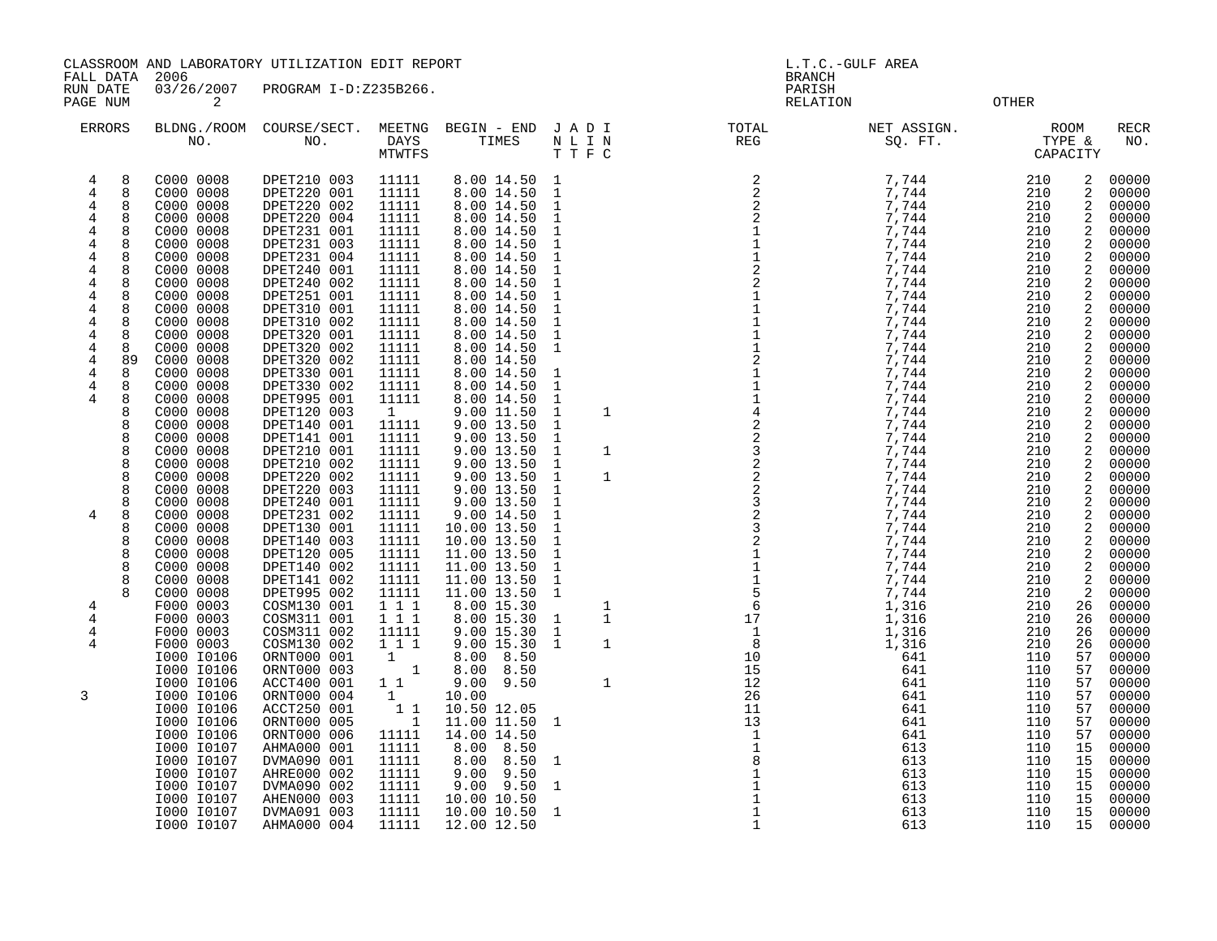CLASSROOM AND LABORATORY UTILIZATION EDIT REPORT AND REPORT AND L.T.C.-GULF AREA

FALL DATA 2006 BRANCH

| LAUL DAIR<br>RUN DATE<br>PAGE NUM                                                                                                                                                                                                                                                                       | ZUUU<br>03/26/2007<br>$\overline{2}$                                                                                                                                                                                                                                                                                                           | PROGRAM I-D:Z235B266.                                                                                                                                                                                                                                                                                                                                                                              |                                                                                                                                                                                                                                               |                                                                                                                                                                                                                                                                                                                                                                                                 |                                                                                                                                                                                                                                                                                                                                                      | ричисц<br>PARISH<br>RELATION                                                |                                                                                                                                                                                                                                        | OTHER                                                                                                                                                                              |                                                                                                                                             |                                                                                                                                                                                                                                        |
|---------------------------------------------------------------------------------------------------------------------------------------------------------------------------------------------------------------------------------------------------------------------------------------------------------|------------------------------------------------------------------------------------------------------------------------------------------------------------------------------------------------------------------------------------------------------------------------------------------------------------------------------------------------|----------------------------------------------------------------------------------------------------------------------------------------------------------------------------------------------------------------------------------------------------------------------------------------------------------------------------------------------------------------------------------------------------|-----------------------------------------------------------------------------------------------------------------------------------------------------------------------------------------------------------------------------------------------|-------------------------------------------------------------------------------------------------------------------------------------------------------------------------------------------------------------------------------------------------------------------------------------------------------------------------------------------------------------------------------------------------|------------------------------------------------------------------------------------------------------------------------------------------------------------------------------------------------------------------------------------------------------------------------------------------------------------------------------------------------------|-----------------------------------------------------------------------------|----------------------------------------------------------------------------------------------------------------------------------------------------------------------------------------------------------------------------------------|------------------------------------------------------------------------------------------------------------------------------------------------------------------------------------|---------------------------------------------------------------------------------------------------------------------------------------------|----------------------------------------------------------------------------------------------------------------------------------------------------------------------------------------------------------------------------------------|
| <b>ERRORS</b>                                                                                                                                                                                                                                                                                           | NO.                                                                                                                                                                                                                                                                                                                                            | BLDNG./ROOM COURSE/SECT.<br>NO.                                                                                                                                                                                                                                                                                                                                                                    | MTWTFS                                                                                                                                                                                                                                        |                                                                                                                                                                                                                                                                                                                                                                                                 | TTFC                                                                                                                                                                                                                                                                                                                                                 | MEETNG BEGIN – END JADI – TOTAL – NI<br>DAYS – TIMES – NLIN – REG<br>MENTER |                                                                                                                                                                                                                                        |                                                                                                                                                                                    |                                                                                                                                             | RECR<br>NO.                                                                                                                                                                                                                            |
| $\overline{4}$<br>8<br>8<br>4<br>$\overline{4}$<br>8<br>4<br>8<br>8<br>4<br>$\overline{4}$<br>8<br>8<br>4<br>4<br>8<br>4<br>8<br>4<br>8<br>$\overline{4}$<br>8<br>8<br>4<br>4<br>8<br>4<br>8<br>$\overline{4}$<br>89<br>$\overline{4}$<br>8<br>4<br>8<br>8<br>4<br>8<br>8<br>8<br>8<br>8<br>8<br>8<br>8 | C000 0008<br>C000 0008<br>C000 0008<br>C000 0008<br>C000 0008<br>C000 0008<br>C000 0008<br>C000 0008<br>C000 0008<br>C000 0008<br>C000 0008<br>C000 0008<br>C000 0008<br>C000 0008<br>C000 0008<br>C000 0008<br>C000 0008<br>C000 0008<br>C000 0008<br>C000 0008<br>C000 0008<br>C000 0008<br>C000 0008<br>C000 0008<br>C000 0008<br>C000 0008 | DPET210 003<br>DPET220 001<br>DPET220 002<br>DPET220 004<br>DPET231 001<br>DPET231 003<br>DPET231 004<br>DPET240 001<br>DPET240 002<br>DPET251 001<br>DPET310 001<br>DPET310 002<br>DPET320 001<br>DPET320 002<br>DPET320 002<br>DPET330 001<br>DPET330 002<br>DPET995 001<br>DPET120 003<br>DPET140 001<br>DPET141 001<br>DPET210 001<br>DPET210 002<br>DPET220 002<br>DPET220 003<br>DPET240 001 | 11111<br>11111<br>11111<br>11111<br>11111<br>11111<br>11111<br>11111<br>11111<br>11111<br>11111<br>11111<br>11111<br>11111<br>11111<br>11111<br>11111<br>11111<br>$\mathbf{1}$<br>11111<br>11111<br>11111<br>11111<br>11111<br>11111<br>11111 | 8.00 14.50 1<br>8.00 14.50<br>8.00 14.50 1<br>8.00 14.50 1<br>8.00 14.50<br>8.00 14.50<br>8.00 14.50<br>8.00 14.50<br>8.00 14.50<br>8.00 14.50<br>8.00 14.50<br>8.00 14.50<br>8.00 14.50<br>8.00 14.50 1<br>8.00 14.50<br>8.00 14.50<br>8.00 14.50<br>8.00 14.50<br>9.00 11.50<br>9.0013.50<br>9.00 13.50<br>9.00 13.50<br>9.00 13.50<br>9.0013.501<br>9.00 13.50 1<br>9.00 13.50<br>9.00 14.50 | $\overline{1}$<br>$\overline{1}$<br>$\overline{1}$<br>$\overline{1}$<br>$\overline{1}$<br>$\overline{1}$<br>$\mathbf{1}$<br>$\mathbf{1}$<br>$\mathbf{1}$<br>$\overline{1}$<br>$\overline{\phantom{0}}$<br>$\overline{1}$<br>$\overline{1}$<br>$\overline{1}$<br>$\mathbf{1}$<br>$\overline{1}$<br>$\overline{1}$<br>$\overline{1}$<br>$\overline{1}$ |                                                                             | 7,744<br>7,744<br>7,744<br>7,744<br>7,744<br>7,744<br>7,744<br>7,744<br>7,744<br>7,744<br>7,744<br>7,744<br>7,744<br>7,744<br>7,744<br>7,744<br>7,744<br>7,744<br>7,744<br>7,744<br>7,744<br>7,744<br>7,744<br>7,744<br>7,744<br>7,744 | 210<br>210<br>210<br>210<br>210<br>210<br>210<br>210<br>210<br>210<br>210<br>210<br>210<br>210<br>210<br>210<br>210<br>210<br>210<br>210<br>210<br>210<br>210<br>210<br>210<br>210 | 2<br>2<br>2<br>2<br>$\overline{2}$<br>2<br>2<br>2<br>2<br>2<br>2<br>2<br>2<br>2<br>2<br>2<br>2<br>2<br>2<br>2<br>2<br>2<br>2<br>2<br>2<br>2 | 00000<br>00000<br>00000<br>00000<br>00000<br>00000<br>00000<br>00000<br>00000<br>00000<br>00000<br>00000<br>00000<br>00000<br>00000<br>00000<br>00000<br>00000<br>00000<br>00000<br>00000<br>00000<br>00000<br>00000<br>00000<br>00000 |
| 8<br>4<br>8<br>8<br>8<br>8<br>8<br>4                                                                                                                                                                                                                                                                    | C000 0008<br>C000 0008<br>C000 0008<br>C000 0008<br>C000 0008<br>C000 0008<br>C000 0008<br>F000 0003                                                                                                                                                                                                                                           | DPET231 002<br>DPET130 001<br>DPET140 003<br>DPET120 005<br>DPET140 002<br>DPET141 002<br>DPET995 002<br>COSM130 001                                                                                                                                                                                                                                                                               | 11111<br>11111<br>11111<br>11111<br>11111<br>11111<br>11111<br>$1 1 1$                                                                                                                                                                        | 10.00 13.50 1<br>10.00 13.50 1<br>11.00 13.50 1<br>$\begin{array}{rrrr} 11.00 & 13.50 & 1 \\ 11.00 & 13.50 & 1 \end{array}$<br>11.00 13.50 1<br>8.00 15.30                                                                                                                                                                                                                                      | $\overline{1}$                                                                                                                                                                                                                                                                                                                                       |                                                                             | 7,744<br>7,744<br>7,744<br>7,744<br>7,744<br>7,744<br>7,744<br>1,316                                                                                                                                                                   | 210<br>210<br>210<br>210<br>210<br>210<br>210<br>210                                                                                                                               | 2<br>2<br>2<br>2<br>2<br>2<br>2<br>26                                                                                                       | 00000<br>00000<br>00000<br>00000<br>00000<br>00000<br>00000<br>00000                                                                                                                                                                   |
| 4<br>4<br>4                                                                                                                                                                                                                                                                                             | F000 0003<br>F000 0003<br>F000 0003<br>I000 I0106<br>I000 I0106                                                                                                                                                                                                                                                                                | COSM311 001<br>COSM311 002<br>COSM130 002<br>ORNT000 001<br>ORNT000 003                                                                                                                                                                                                                                                                                                                            | 111<br>11111<br>111<br>1<br>$\overline{\phantom{a}}$                                                                                                                                                                                          | 8.00 15.30 1<br>9.00 15.30<br>9.00 15.30 1<br>8.00 8.50<br>8.00 8.50                                                                                                                                                                                                                                                                                                                            | $\overline{1}$                                                                                                                                                                                                                                                                                                                                       |                                                                             | 1,316<br>1,316<br>1,316<br>641<br>641                                                                                                                                                                                                  | 210<br>210<br>210<br>110<br>110                                                                                                                                                    | 26<br>26<br>26<br>57<br>57                                                                                                                  | 00000<br>00000<br>00000<br>00000<br>00000                                                                                                                                                                                              |
| 3                                                                                                                                                                                                                                                                                                       | I000 I0106<br>I000 I0106<br>I000 I0106<br>I000 I0106<br>I000 I0106<br>I000 I0107<br>I000 I0107                                                                                                                                                                                                                                                 | ACCT400 001<br>ORNT000 004<br>ACCT250 001<br>ORNT000 005<br>ORNT000 006<br>AHMA000 001<br>DVMA090 001                                                                                                                                                                                                                                                                                              | $1\quad1$<br>$\mathbf{1}$<br>$\begin{bmatrix} 1 & 1 \end{bmatrix}$<br>$\overline{\phantom{a}}$<br>11111<br>11111<br>11111                                                                                                                     | $9.00$ $9.50$<br>10.00<br>10.50 12.05<br>11.00 11.50 1<br>14.00 14.50<br>8.00 8.50<br>8.00 8.50 1                                                                                                                                                                                                                                                                                               |                                                                                                                                                                                                                                                                                                                                                      | 13<br>$\frac{1}{1}$<br>8                                                    | 641<br>641<br>641<br>641<br>641<br>613<br>613                                                                                                                                                                                          | 110<br>110<br>110<br>110<br>110<br>110<br>110                                                                                                                                      | 57<br>57<br>57<br>57<br>57<br>15<br>15                                                                                                      | 00000<br>00000<br>00000<br>00000<br>00000<br>00000<br>00000                                                                                                                                                                            |

I000 I0107 AHRE000 002 11111 9.00 9.50 1 613 110 15 00000 I000 I0107 DVMA090 002 11111 9.00 9.50 1 1 613 110 15 00000 I000 I0107 AHEN000 003 11111 10.00 10.50 1 613 110 15 00000 I000 I0107 DVMA091 003 11111 10.00 10.50 1 1 613 110 15 00000 I000 I0107 AHMA000 004 11111 12.00 12.50 1 613 110 15 00000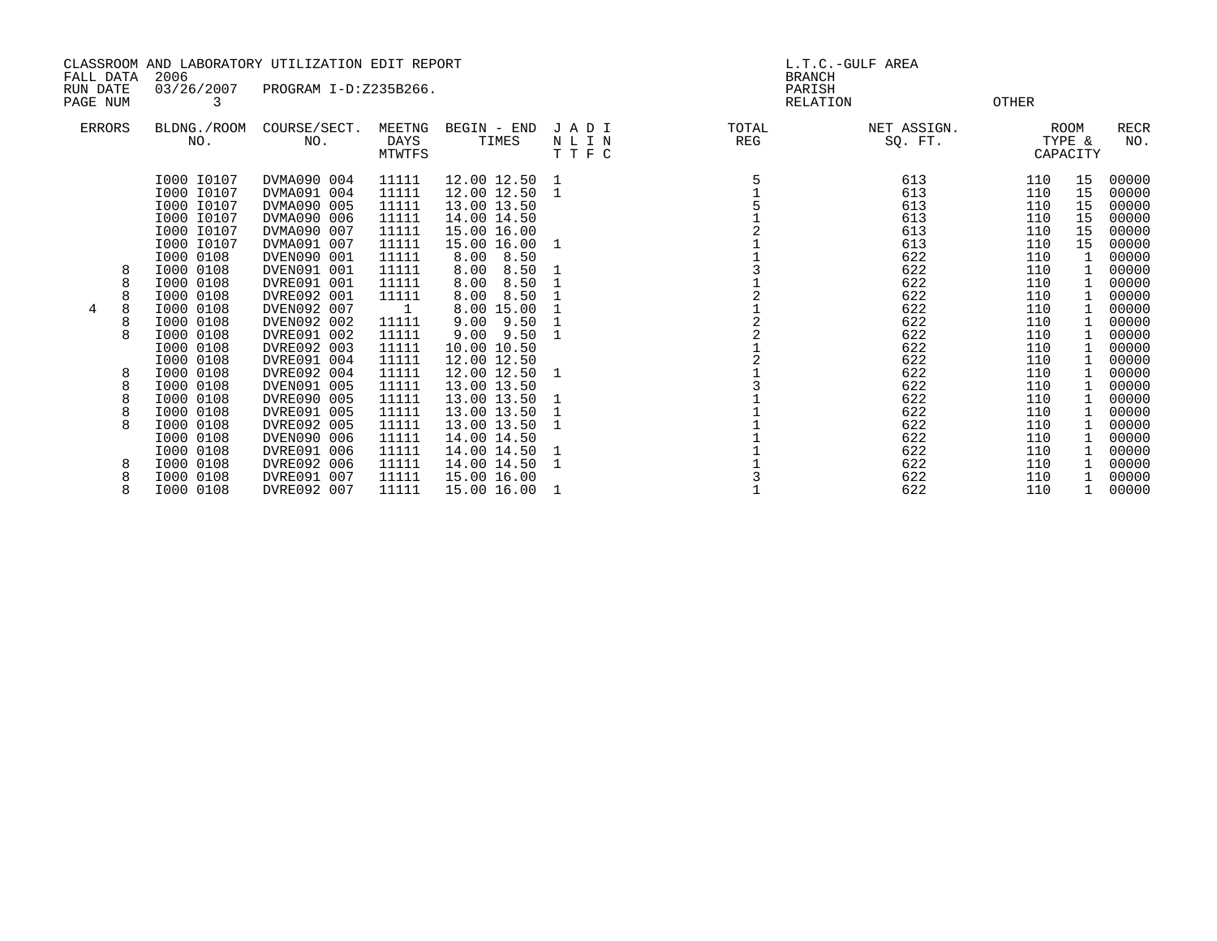| FALL DATA            |        | 2006                                                                                                                                                                                                                            | CLASSROOM AND LABORATORY UTILIZATION EDIT REPORT                                                                                                                                                                                                            |                                                                                                                                                          |                                                                                                                                                                                                                                                                     |                         | <b>BRANCH</b>             | L.T.C.-GULF AREA                                                                                                    |                                                                                                                     |                                                                 |                                                                                                                                                       |
|----------------------|--------|---------------------------------------------------------------------------------------------------------------------------------------------------------------------------------------------------------------------------------|-------------------------------------------------------------------------------------------------------------------------------------------------------------------------------------------------------------------------------------------------------------|----------------------------------------------------------------------------------------------------------------------------------------------------------|---------------------------------------------------------------------------------------------------------------------------------------------------------------------------------------------------------------------------------------------------------------------|-------------------------|---------------------------|---------------------------------------------------------------------------------------------------------------------|---------------------------------------------------------------------------------------------------------------------|-----------------------------------------------------------------|-------------------------------------------------------------------------------------------------------------------------------------------------------|
| RUN DATE<br>PAGE NUM |        | 03/26/2007                                                                                                                                                                                                                      | PROGRAM I-D:Z235B266.                                                                                                                                                                                                                                       |                                                                                                                                                          |                                                                                                                                                                                                                                                                     |                         | PARISH<br><b>RELATION</b> |                                                                                                                     | OTHER                                                                                                               |                                                                 |                                                                                                                                                       |
| <b>ERRORS</b>        |        | BLDNG./ROOM<br>NO.                                                                                                                                                                                                              | COURSE/SECT.<br>NO.                                                                                                                                                                                                                                         | MEETNG<br>DAYS<br>MTWTFS                                                                                                                                 | BEGIN - END<br>TIMES                                                                                                                                                                                                                                                | JADI<br>N L I N<br>TTFC | TOTAL<br>REG              | NET ASSIGN.<br>SO. FT.                                                                                              |                                                                                                                     | ROOM<br>TYPE &<br>CAPACITY                                      | <b>RECR</b><br>NO.                                                                                                                                    |
| 4                    | 8<br>8 | I000 I0107<br>I000 I0107<br>I000 I0107<br>I000 I0107<br>I000 I0107<br>I000 I0107<br>I000 0108<br>I000 0108<br>I000 0108<br>I000 0108<br>I000 0108<br>I000 0108<br>I000 0108<br>I000 0108<br>I000 0108<br>I000 0108<br>I000 0108 | DVMA090 004<br>DVMA091 004<br>DVMA090 005<br>DVMA090 006<br>DVMA090 007<br>DVMA091 007<br>DVEN090 001<br>DVEN091 001<br>DVRE091 001<br>DVRE092 001<br>DVEN092 007<br>DVEN092 002<br>DVRE091 002<br>DVRE092 003<br>DVRE091 004<br>DVRE092 004<br>DVEN091 005 | 11111<br>11111<br>11111<br>11111<br>11111<br>11111<br>11111<br>11111<br>11111<br>11111<br>$\sim$ 1<br>11111<br>11111<br>11111<br>11111<br>11111<br>11111 | 12.00 12.50<br>12.00 12.50 1<br>13.00 13.50<br>14.00 14.50<br>15.00 16.00<br>15.00 16.00<br>8.00 8.50<br>8.00<br>8.50<br>8.00<br>8.50<br>8.00<br>8.50<br>8.00 15.00<br>$9.00$ $9.50$<br>$9.00$ $9.50$<br>10.00 10.50<br>12.00 12.50<br>12.00 12.50 1<br>13.00 13.50 | 1<br>1                  |                           | 613<br>613<br>613<br>613<br>613<br>613<br>622<br>622<br>622<br>622<br>622<br>622<br>622<br>622<br>622<br>622<br>622 | 110<br>110<br>110<br>110<br>110<br>110<br>110<br>110<br>110<br>110<br>110<br>110<br>110<br>110<br>110<br>110<br>110 | 15<br>15<br>15<br>15<br>15<br>15<br>$\mathbf{1}$<br>1<br>1<br>1 | 00000<br>00000<br>00000<br>00000<br>00000<br>00000<br>00000<br>00000<br>00000<br>00000<br>00000<br>00000<br>00000<br>00000<br>00000<br>00000<br>00000 |
|                      | 8<br>8 | I000 0108<br>I000 0108<br>I000 0108<br>I000 0108<br>I000 0108                                                                                                                                                                   | DVRE090 005<br>DVRE091 005<br>DVRE092 005<br>DVEN090 006<br>DVRE091 006                                                                                                                                                                                     | 11111<br>11111<br>11111<br>11111<br>11111                                                                                                                | 13.00 13.50<br>13.00 13.50<br>13.00 13.50<br>14.00 14.50<br>14.00 14.50                                                                                                                                                                                             |                         |                           | 622<br>622<br>622<br>622<br>622                                                                                     | 110<br>110<br>110<br>110<br>110                                                                                     | 1                                                               | 00000<br>00000<br>00000<br>00000<br>00000                                                                                                             |
|                      | 8      | I000 0108<br>I000 0108                                                                                                                                                                                                          | DVRE092 006<br>DVRE091 007                                                                                                                                                                                                                                  | 11111<br>11111                                                                                                                                           | 14.00 14.50<br>15.00 16.00                                                                                                                                                                                                                                          |                         |                           | 622<br>622                                                                                                          | 110<br>110                                                                                                          | 1                                                               | 00000<br>00000                                                                                                                                        |

8 I000 0108 DVRE092 007 11111 15.00 16.00 1 1 622 110 1 00000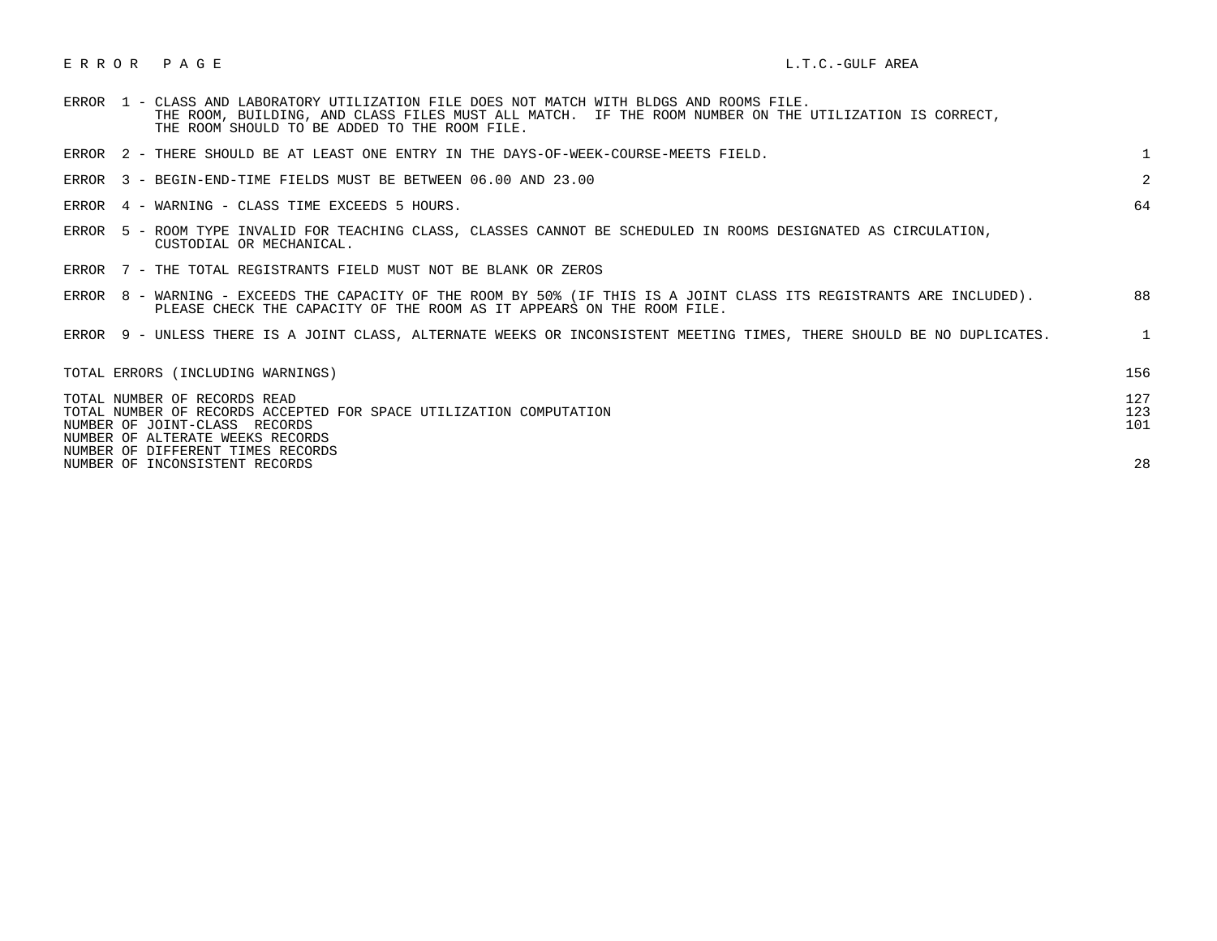## E R R O R P A G E L.T.C.-GULF AREA

| <b>ERROR</b> |  | 1 - CLASS AND LABORATORY UTILIZATION FILE DOES NOT MATCH WITH BLDGS AND ROOMS FILE. |  |  |  |  |                                                                                                       |  |
|--------------|--|-------------------------------------------------------------------------------------|--|--|--|--|-------------------------------------------------------------------------------------------------------|--|
|              |  |                                                                                     |  |  |  |  | THE ROOM, BUILDING, AND CLASS FILES MUST ALL MATCH. IF THE ROOM NUMBER ON THE UTILIZATION IS CORRECT, |  |
|              |  | THE ROOM SHOULD TO BE ADDED TO THE ROOM FILE.                                       |  |  |  |  |                                                                                                       |  |

| ERROR 2 - THERE SHOULD BE AT LEAST ONE ENTRY IN THE DAYS-OF-WEEK-COURSE-MEETS FIELD.                                                                                                                         |                   |
|--------------------------------------------------------------------------------------------------------------------------------------------------------------------------------------------------------------|-------------------|
| ERROR 3 - BEGIN-END-TIME FIELDS MUST BE BETWEEN 06.00 AND 23.00                                                                                                                                              | $\overline{2}$    |
| ERROR 4 - WARNING - CLASS TIME EXCEEDS 5 HOURS.                                                                                                                                                              | 64                |
| ERROR 5 - ROOM TYPE INVALID FOR TEACHING CLASS, CLASSES CANNOT BE SCHEDULED IN ROOMS DESIGNATED AS CIRCULATION,<br>CUSTODIAL OR MECHANICAL.                                                                  |                   |
| ERROR 7 - THE TOTAL REGISTRANTS FIELD MUST NOT BE BLANK OR ZEROS                                                                                                                                             |                   |
| ERROR 8 - WARNING - EXCEEDS THE CAPACITY OF THE ROOM BY 50% (IF THIS IS A JOINT CLASS ITS REGISTRANTS ARE INCLUDED).<br>PLEASE CHECK THE CAPACITY OF THE ROOM AS IT APPEARS ON THE ROOM FILE.                | 88                |
| ERROR 9 - UNLESS THERE IS A JOINT CLASS, ALTERNATE WEEKS OR INCONSISTENT MEETING TIMES, THERE SHOULD BE NO DUPLICATES.                                                                                       | $\mathbf{1}$      |
| TOTAL ERRORS (INCLUDING WARNINGS)                                                                                                                                                                            | 156               |
| TOTAL NUMBER OF RECORDS READ<br>TOTAL NUMBER OF RECORDS ACCEPTED FOR SPACE UTILIZATION COMPUTATION<br>NUMBER OF JOINT-CLASS RECORDS<br>NUMBER OF ALTERATE WEEKS RECORDS<br>NUMBER OF DIFFERENT TIMES RECORDS | 127<br>123<br>101 |
| NUMBER OF INCONSISTENT RECORDS                                                                                                                                                                               | 28                |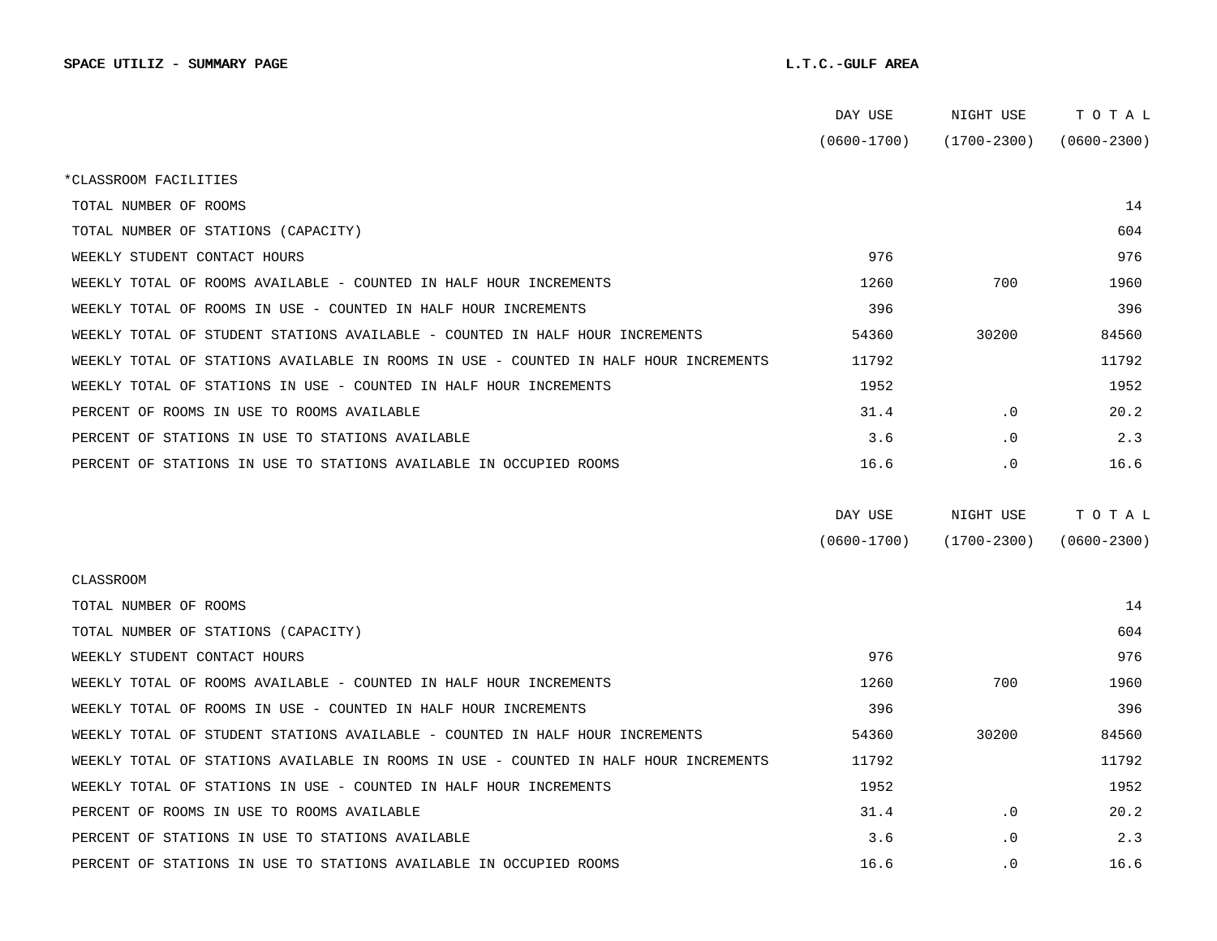|                                                                                      | DAY USE         | NIGHT USE   | ТОТАЬ           |
|--------------------------------------------------------------------------------------|-----------------|-------------|-----------------|
|                                                                                      | $(0600 - 1700)$ | (1700-2300) | $(0600 - 2300)$ |
| *CLASSROOM FACILITIES                                                                |                 |             |                 |
| TOTAL NUMBER OF ROOMS                                                                |                 |             | 14              |
| TOTAL NUMBER OF STATIONS (CAPACITY)                                                  |                 |             | 604             |
| WEEKLY STUDENT CONTACT HOURS                                                         | 976             |             | 976             |
| WEEKLY TOTAL OF ROOMS AVAILABLE - COUNTED IN HALF HOUR INCREMENTS                    | 1260            | 700         | 1960            |
| WEEKLY TOTAL OF ROOMS IN USE - COUNTED IN HALF HOUR INCREMENTS                       | 396             |             | 396             |
| WEEKLY TOTAL OF STUDENT STATIONS AVAILABLE - COUNTED IN HALF HOUR INCREMENTS         | 54360           | 30200       | 84560           |
| WEEKLY TOTAL OF STATIONS AVAILABLE IN ROOMS IN USE - COUNTED IN HALF HOUR INCREMENTS | 11792           |             | 11792           |
| WEEKLY TOTAL OF STATIONS IN USE - COUNTED IN HALF HOUR INCREMENTS                    | 1952            |             | 1952            |
| PERCENT OF ROOMS IN USE TO ROOMS AVAILABLE                                           | 31.4            | $\cdot$ 0   | 20.2            |
| PERCENT OF STATIONS IN USE TO STATIONS AVAILABLE                                     | 3.6             | $\cdot$ 0   | 2.3             |
| PERCENT OF STATIONS IN USE TO STATIONS AVAILABLE IN OCCUPIED ROOMS                   | 16.6            | $\cdot$ 0   | 16.6            |
|                                                                                      |                 |             |                 |
|                                                                                      | DAY USE         | NIGHT USE   | TOTAL           |
|                                                                                      | $(0600 - 1700)$ | (1700-2300) | $(0600 - 2300)$ |
| CLASSROOM                                                                            |                 |             |                 |
| TOTAL NUMBER OF ROOMS                                                                |                 |             | 14              |
|                                                                                      |                 |             |                 |
| TOTAL NUMBER OF STATIONS (CAPACITY)                                                  |                 |             | 604             |
| WEEKLY STUDENT CONTACT HOURS                                                         | 976             |             | 976             |
| WEEKLY TOTAL OF ROOMS AVAILABLE - COUNTED IN HALF HOUR INCREMENTS                    | 1260            | 700         | 1960            |
| WEEKLY TOTAL OF ROOMS IN USE - COUNTED IN HALF HOUR INCREMENTS                       | 396             |             | 396             |
| WEEKLY TOTAL OF STUDENT STATIONS AVAILABLE - COUNTED IN HALF HOUR INCREMENTS         | 54360           | 30200       | 84560           |
| WEEKLY TOTAL OF STATIONS AVAILABLE IN ROOMS IN USE - COUNTED IN HALF HOUR INCREMENTS | 11792           |             | 11792           |
| WEEKLY TOTAL OF STATIONS IN USE - COUNTED IN HALF HOUR INCREMENTS                    | 1952            |             | 1952            |
| PERCENT OF ROOMS IN USE TO ROOMS AVAILABLE                                           | 31.4            | $\cdot$ 0   | 20.2            |
| PERCENT OF STATIONS IN USE TO STATIONS AVAILABLE                                     | 3.6             | $\cdot$ 0   | 2.3             |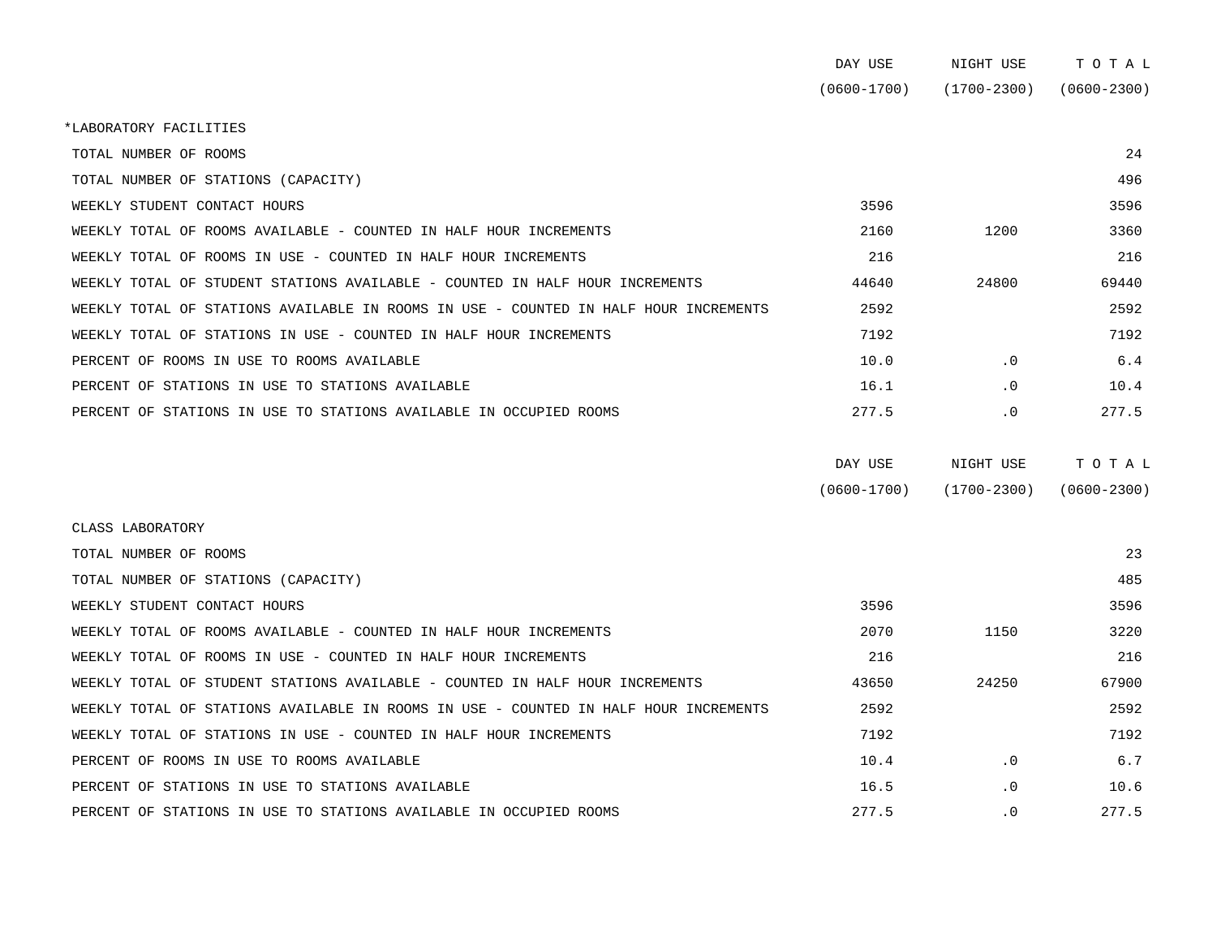|                                                                                      | DAY USE         | NIGHT USE       | TOTAL           |
|--------------------------------------------------------------------------------------|-----------------|-----------------|-----------------|
|                                                                                      | $(0600 - 1700)$ | $(1700 - 2300)$ | $(0600 - 2300)$ |
| *LABORATORY FACILITIES                                                               |                 |                 |                 |
| TOTAL NUMBER OF ROOMS                                                                |                 |                 | 24              |
| TOTAL NUMBER OF STATIONS (CAPACITY)                                                  |                 |                 | 496             |
| WEEKLY STUDENT CONTACT HOURS                                                         | 3596            |                 | 3596            |
| WEEKLY TOTAL OF ROOMS AVAILABLE - COUNTED IN HALF HOUR INCREMENTS                    | 2160            | 1200            | 3360            |
| WEEKLY TOTAL OF ROOMS IN USE - COUNTED IN HALF HOUR INCREMENTS                       | 216             |                 | 216             |
| WEEKLY TOTAL OF STUDENT STATIONS AVAILABLE - COUNTED IN HALF HOUR INCREMENTS         | 44640           | 24800           | 69440           |
| WEEKLY TOTAL OF STATIONS AVAILABLE IN ROOMS IN USE - COUNTED IN HALF HOUR INCREMENTS | 2592            |                 | 2592            |
| WEEKLY TOTAL OF STATIONS IN USE - COUNTED IN HALF HOUR INCREMENTS                    | 7192            |                 | 7192            |
| PERCENT OF ROOMS IN USE TO ROOMS AVAILABLE                                           | 10.0            | $\cdot$ 0       | 6.4             |
| PERCENT OF STATIONS IN USE TO STATIONS AVAILABLE                                     | 16.1            | $\cdot$ 0       | 10.4            |
| PERCENT OF STATIONS IN USE TO STATIONS AVAILABLE IN OCCUPIED ROOMS                   | 277.5           | $\cdot$ 0       | 277.5           |
|                                                                                      |                 |                 |                 |

| DAY USE         | NIGHT USE       | тотаь           |
|-----------------|-----------------|-----------------|
| $(0600 - 1700)$ | $(1700 - 2300)$ | $(0600 - 2300)$ |

| CLASS LABORATORY                                                                     |       |           |       |
|--------------------------------------------------------------------------------------|-------|-----------|-------|
| TOTAL NUMBER OF ROOMS                                                                |       |           | 23    |
| TOTAL NUMBER OF STATIONS (CAPACITY)                                                  |       |           | 485   |
| WEEKLY STUDENT CONTACT HOURS                                                         | 3596  |           | 3596  |
| WEEKLY TOTAL OF ROOMS AVAILABLE - COUNTED IN HALF HOUR INCREMENTS                    | 2070  | 1150      | 3220  |
| WEEKLY TOTAL OF ROOMS IN USE - COUNTED IN HALF HOUR INCREMENTS                       | 216   |           | 216   |
| WEEKLY TOTAL OF STUDENT STATIONS AVAILABLE - COUNTED IN HALF HOUR INCREMENTS         | 43650 | 24250     | 67900 |
| WEEKLY TOTAL OF STATIONS AVAILABLE IN ROOMS IN USE - COUNTED IN HALF HOUR INCREMENTS | 2592  |           | 2592  |
| WEEKLY TOTAL OF STATIONS IN USE - COUNTED IN HALF HOUR INCREMENTS                    | 7192  |           | 7192  |
| PERCENT OF ROOMS IN USE TO ROOMS AVAILABLE                                           | 10.4  | $\cdot$ 0 | 6.7   |
| PERCENT OF STATIONS IN USE TO STATIONS AVAILABLE                                     | 16.5  | $\cdot$ 0 | 10.6  |
| PERCENT OF STATIONS IN USE TO STATIONS AVAILABLE IN OCCUPIED ROOMS                   | 277.5 | $\cdot$ 0 | 277.5 |